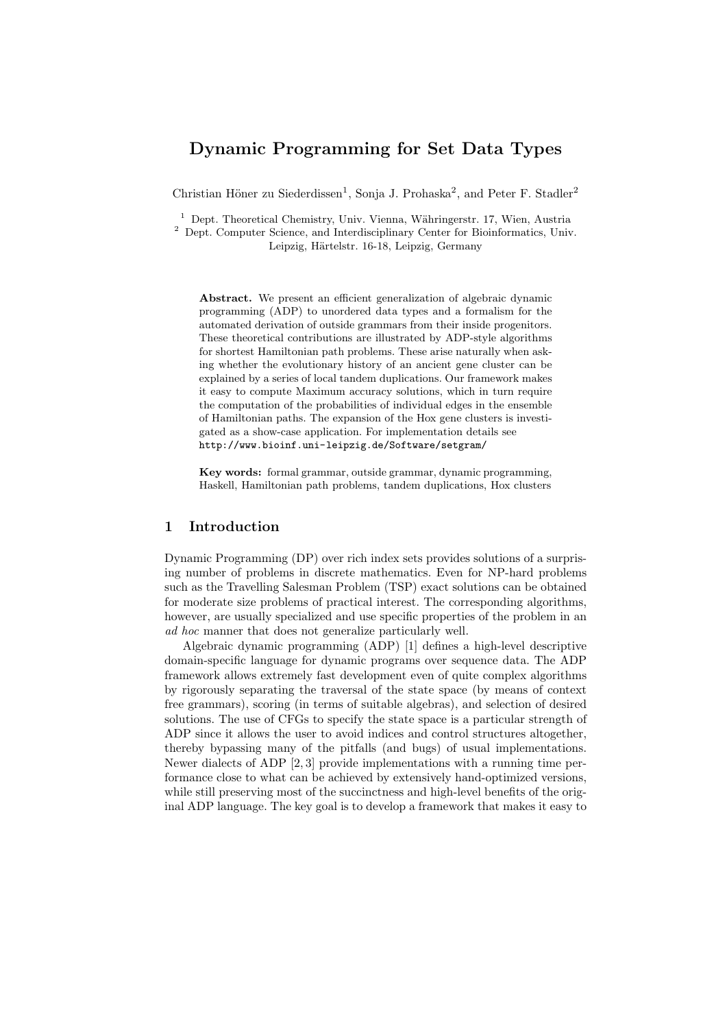## Dynamic Programming for Set Data Types

Christian Höner zu Siederdissen<sup>1</sup>, Sonja J. Prohaska<sup>2</sup>, and Peter F. Stadler<sup>2</sup>

 $1$  Dept. Theoretical Chemistry, Univ. Vienna, Währingerstr. 17, Wien, Austria <sup>2</sup> Dept. Computer Science, and Interdisciplinary Center for Bioinformatics, Univ.

Leipzig, Härtelstr. 16-18, Leipzig, Germany

Abstract. We present an efficient generalization of algebraic dynamic programming (ADP) to unordered data types and a formalism for the automated derivation of outside grammars from their inside progenitors. These theoretical contributions are illustrated by ADP-style algorithms for shortest Hamiltonian path problems. These arise naturally when asking whether the evolutionary history of an ancient gene cluster can be explained by a series of local tandem duplications. Our framework makes it easy to compute Maximum accuracy solutions, which in turn require the computation of the probabilities of individual edges in the ensemble of Hamiltonian paths. The expansion of the Hox gene clusters is investigated as a show-case application. For implementation details see http://www.bioinf.uni-leipzig.de/Software/setgram/

Key words: formal grammar, outside grammar, dynamic programming, Haskell, Hamiltonian path problems, tandem duplications, Hox clusters

## 1 Introduction

Dynamic Programming (DP) over rich index sets provides solutions of a surprising number of problems in discrete mathematics. Even for NP-hard problems such as the Travelling Salesman Problem (TSP) exact solutions can be obtained for moderate size problems of practical interest. The corresponding algorithms, however, are usually specialized and use specific properties of the problem in an ad hoc manner that does not generalize particularly well.

Algebraic dynamic programming (ADP) [1] defines a high-level descriptive domain-specific language for dynamic programs over sequence data. The ADP framework allows extremely fast development even of quite complex algorithms by rigorously separating the traversal of the state space (by means of context free grammars), scoring (in terms of suitable algebras), and selection of desired solutions. The use of CFGs to specify the state space is a particular strength of ADP since it allows the user to avoid indices and control structures altogether, thereby bypassing many of the pitfalls (and bugs) of usual implementations. Newer dialects of ADP [2, 3] provide implementations with a running time performance close to what can be achieved by extensively hand-optimized versions, while still preserving most of the succinctness and high-level benefits of the original ADP language. The key goal is to develop a framework that makes it easy to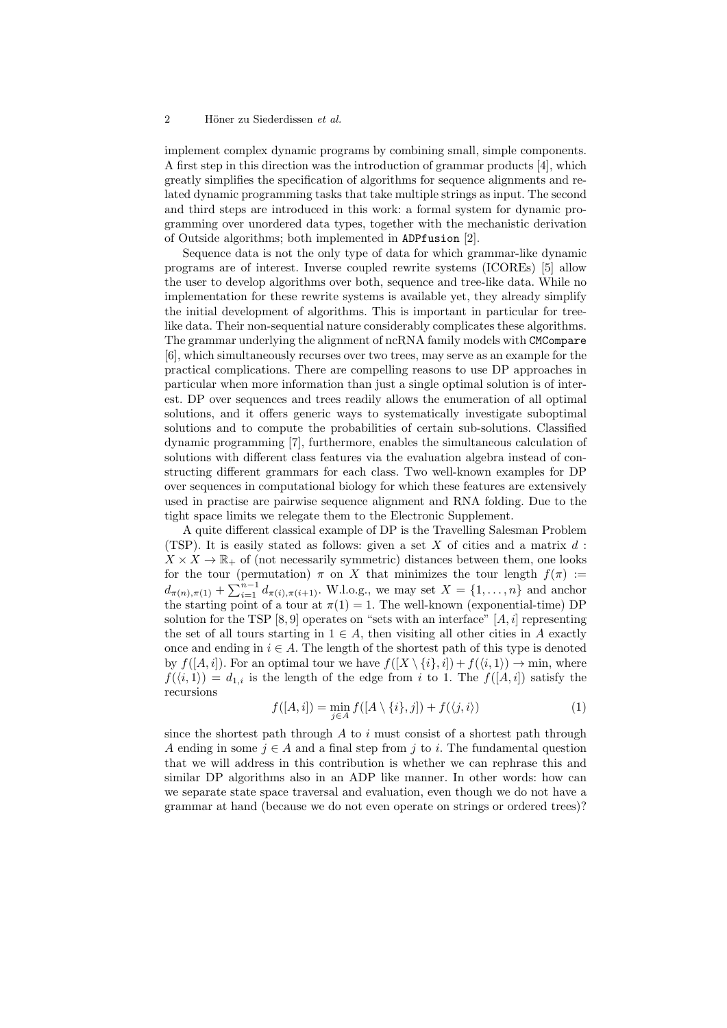#### 2 Höner zu Siederdissen et al.

implement complex dynamic programs by combining small, simple components. A first step in this direction was the introduction of grammar products [4], which greatly simplifies the specification of algorithms for sequence alignments and related dynamic programming tasks that take multiple strings as input. The second and third steps are introduced in this work: a formal system for dynamic programming over unordered data types, together with the mechanistic derivation of Outside algorithms; both implemented in ADPfusion [2].

Sequence data is not the only type of data for which grammar-like dynamic programs are of interest. Inverse coupled rewrite systems (ICOREs) [5] allow the user to develop algorithms over both, sequence and tree-like data. While no implementation for these rewrite systems is available yet, they already simplify the initial development of algorithms. This is important in particular for treelike data. Their non-sequential nature considerably complicates these algorithms. The grammar underlying the alignment of ncRNA family models with CMCompare [6], which simultaneously recurses over two trees, may serve as an example for the practical complications. There are compelling reasons to use DP approaches in particular when more information than just a single optimal solution is of interest. DP over sequences and trees readily allows the enumeration of all optimal solutions, and it offers generic ways to systematically investigate suboptimal solutions and to compute the probabilities of certain sub-solutions. Classified dynamic programming [7], furthermore, enables the simultaneous calculation of solutions with different class features via the evaluation algebra instead of constructing different grammars for each class. Two well-known examples for DP over sequences in computational biology for which these features are extensively used in practise are pairwise sequence alignment and RNA folding. Due to the tight space limits we relegate them to the Electronic Supplement.

A quite different classical example of DP is the Travelling Salesman Problem (TSP). It is easily stated as follows: given a set  $X$  of cities and a matrix  $d$ :  $X \times X \to \mathbb{R}_+$  of (not necessarily symmetric) distances between them, one looks for the tour (permutation)  $\pi$  on X that minimizes the tour length  $f(\pi) :=$  $d_{\pi(n),\pi(1)} + \sum_{i=1}^{n-1} d_{\pi(i),\pi(i+1)}$ . W.l.o.g., we may set  $X = \{1,\ldots,n\}$  and anchor the starting point of a tour at  $\pi(1) = 1$ . The well-known (exponential-time) DP solution for the TSP [8, 9] operates on "sets with an interface"  $[A, i]$  representing the set of all tours starting in  $1 \in A$ , then visiting all other cities in A exactly once and ending in  $i \in A$ . The length of the shortest path of this type is denoted by  $f([A, i])$ . For an optimal tour we have  $f([X \setminus \{i\}, i]) + f(\langle i, 1 \rangle) \rightarrow \min$ , where  $f(\langle i, 1 \rangle) = d_{1,i}$  is the length of the edge from i to 1. The  $f([A, i])$  satisfy the recursions

$$
f([A,i]) = \min_{j \in A} f([A \setminus \{i\}, j]) + f(\langle j, i \rangle)
$$
 (1)

since the shortest path through  $A$  to  $i$  must consist of a shortest path through A ending in some  $j \in A$  and a final step from j to i. The fundamental question that we will address in this contribution is whether we can rephrase this and similar DP algorithms also in an ADP like manner. In other words: how can we separate state space traversal and evaluation, even though we do not have a grammar at hand (because we do not even operate on strings or ordered trees)?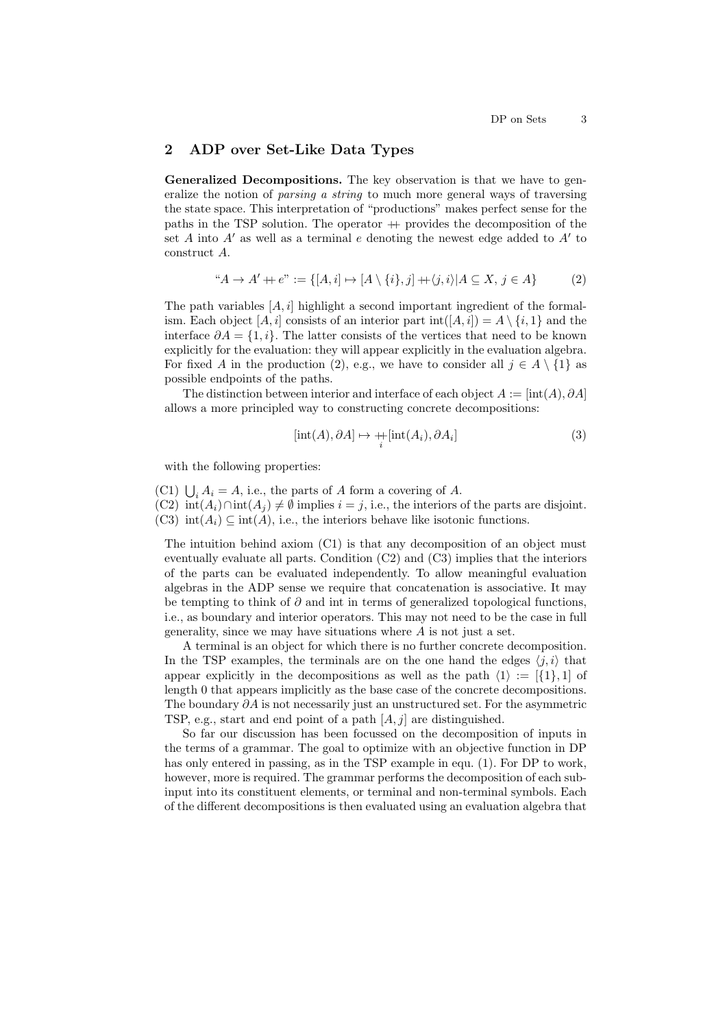## 2 ADP over Set-Like Data Types

Generalized Decompositions. The key observation is that we have to generalize the notion of parsing a string to much more general ways of traversing the state space. This interpretation of "productions" makes perfect sense for the paths in the TSP solution. The operator  $+$  provides the decomposition of the set  $A$  into  $A'$  as well as a terminal  $e$  denoting the newest edge added to  $A'$  to construct A.

$$
A \to A' + e'':= \{ [A, i] \mapsto [A \setminus \{i\}, j] + \langle j, i \rangle | A \subseteq X, j \in A \}
$$
 (2)

The path variables  $[A, i]$  highlight a second important ingredient of the formalism. Each object  $[A, i]$  consists of an interior part  $\text{int}([A, i]) = A \setminus \{i, 1\}$  and the interface  $\partial A = \{1, i\}$ . The latter consists of the vertices that need to be known explicitly for the evaluation: they will appear explicitly in the evaluation algebra. For fixed A in the production (2), e.g., we have to consider all  $j \in A \setminus \{1\}$  as possible endpoints of the paths.

The distinction between interior and interface of each object  $A := [int(A), \partial A]$ allows a more principled way to constructing concrete decompositions:

$$
[\text{int}(A), \partial A] \mapsto +[\text{int}(A_i), \partial A_i]
$$
\n(3)

with the following properties:

(C1)  $\bigcup_i A_i = A$ , i.e., the parts of A form a covering of A.

(C2)  $\text{int}(A_i) \cap \text{int}(A_j) \neq \emptyset$  implies  $i = j$ , i.e., the interiors of the parts are disjoint. (C3)  $\text{int}(A_i) \subseteq \text{int}(A)$ , i.e., the interiors behave like isotonic functions.

The intuition behind axiom (C1) is that any decomposition of an object must eventually evaluate all parts. Condition (C2) and (C3) implies that the interiors of the parts can be evaluated independently. To allow meaningful evaluation algebras in the ADP sense we require that concatenation is associative. It may be tempting to think of  $\partial$  and int in terms of generalized topological functions, i.e., as boundary and interior operators. This may not need to be the case in full generality, since we may have situations where A is not just a set.

A terminal is an object for which there is no further concrete decomposition. In the TSP examples, the terminals are on the one hand the edges  $\langle j, i \rangle$  that appear explicitly in the decompositions as well as the path  $\langle 1 \rangle := [\{1\}, 1]$  of length 0 that appears implicitly as the base case of the concrete decompositions. The boundary  $\partial A$  is not necessarily just an unstructured set. For the asymmetric TSP, e.g., start and end point of a path  $[A, j]$  are distinguished.

So far our discussion has been focussed on the decomposition of inputs in the terms of a grammar. The goal to optimize with an objective function in DP has only entered in passing, as in the TSP example in equ. (1). For DP to work, however, more is required. The grammar performs the decomposition of each subinput into its constituent elements, or terminal and non-terminal symbols. Each of the different decompositions is then evaluated using an evaluation algebra that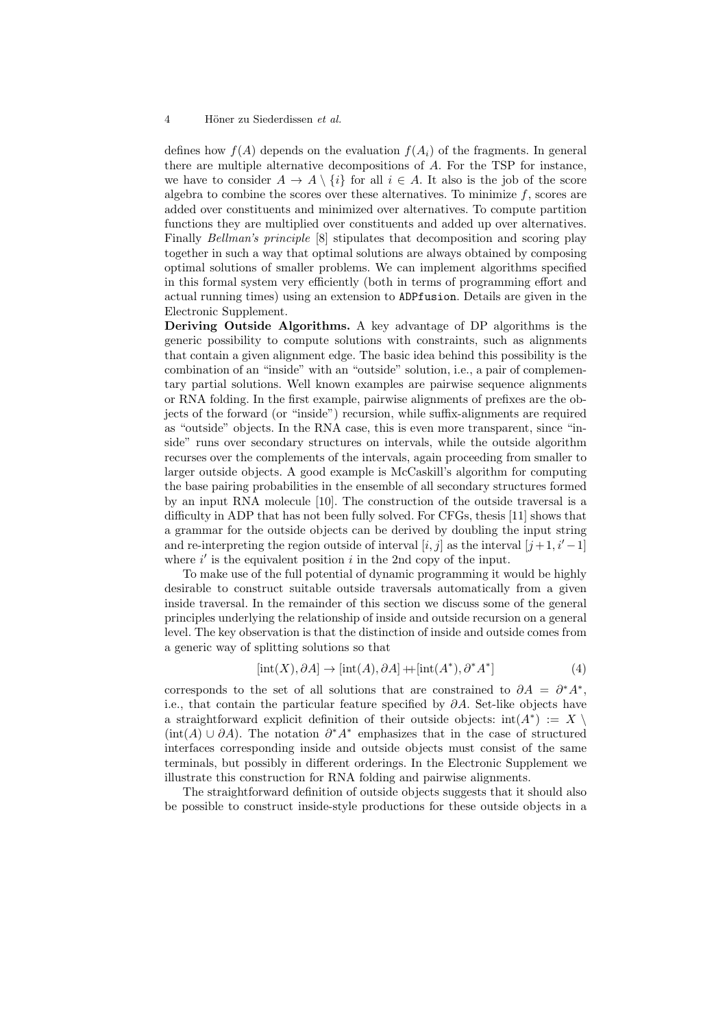defines how  $f(A)$  depends on the evaluation  $f(A_i)$  of the fragments. In general there are multiple alternative decompositions of A. For the TSP for instance, we have to consider  $A \to A \setminus \{i\}$  for all  $i \in A$ . It also is the job of the score algebra to combine the scores over these alternatives. To minimize  $f$ , scores are added over constituents and minimized over alternatives. To compute partition functions they are multiplied over constituents and added up over alternatives. Finally Bellman's principle [8] stipulates that decomposition and scoring play together in such a way that optimal solutions are always obtained by composing optimal solutions of smaller problems. We can implement algorithms specified in this formal system very efficiently (both in terms of programming effort and actual running times) using an extension to ADPfusion. Details are given in the Electronic Supplement.

Deriving Outside Algorithms. A key advantage of DP algorithms is the generic possibility to compute solutions with constraints, such as alignments that contain a given alignment edge. The basic idea behind this possibility is the combination of an "inside" with an "outside" solution, i.e., a pair of complementary partial solutions. Well known examples are pairwise sequence alignments or RNA folding. In the first example, pairwise alignments of prefixes are the objects of the forward (or "inside") recursion, while suffix-alignments are required as "outside" objects. In the RNA case, this is even more transparent, since "inside" runs over secondary structures on intervals, while the outside algorithm recurses over the complements of the intervals, again proceeding from smaller to larger outside objects. A good example is McCaskill's algorithm for computing the base pairing probabilities in the ensemble of all secondary structures formed by an input RNA molecule [10]. The construction of the outside traversal is a difficulty in ADP that has not been fully solved. For CFGs, thesis [11] shows that a grammar for the outside objects can be derived by doubling the input string and re-interpreting the region outside of interval  $[i, j]$  as the interval  $[j+1, i'-1]$ where  $i'$  is the equivalent position  $i$  in the 2nd copy of the input.

To make use of the full potential of dynamic programming it would be highly desirable to construct suitable outside traversals automatically from a given inside traversal. In the remainder of this section we discuss some of the general principles underlying the relationship of inside and outside recursion on a general level. The key observation is that the distinction of inside and outside comes from a generic way of splitting solutions so that

$$
[\text{int}(X), \partial A] \to [\text{int}(A), \partial A] + [\text{int}(A^*), \partial^* A^*]
$$
\n(4)

corresponds to the set of all solutions that are constrained to  $\partial A = \partial^* A^*$ , i.e., that contain the particular feature specified by  $\partial A$ . Set-like objects have a straightforward explicit definition of their outside objects:  $int(A^*) := X$  $(int(A) \cup \partial A)$ . The notation  $\partial^* A^*$  emphasizes that in the case of structured interfaces corresponding inside and outside objects must consist of the same terminals, but possibly in different orderings. In the Electronic Supplement we illustrate this construction for RNA folding and pairwise alignments.

The straightforward definition of outside objects suggests that it should also be possible to construct inside-style productions for these outside objects in a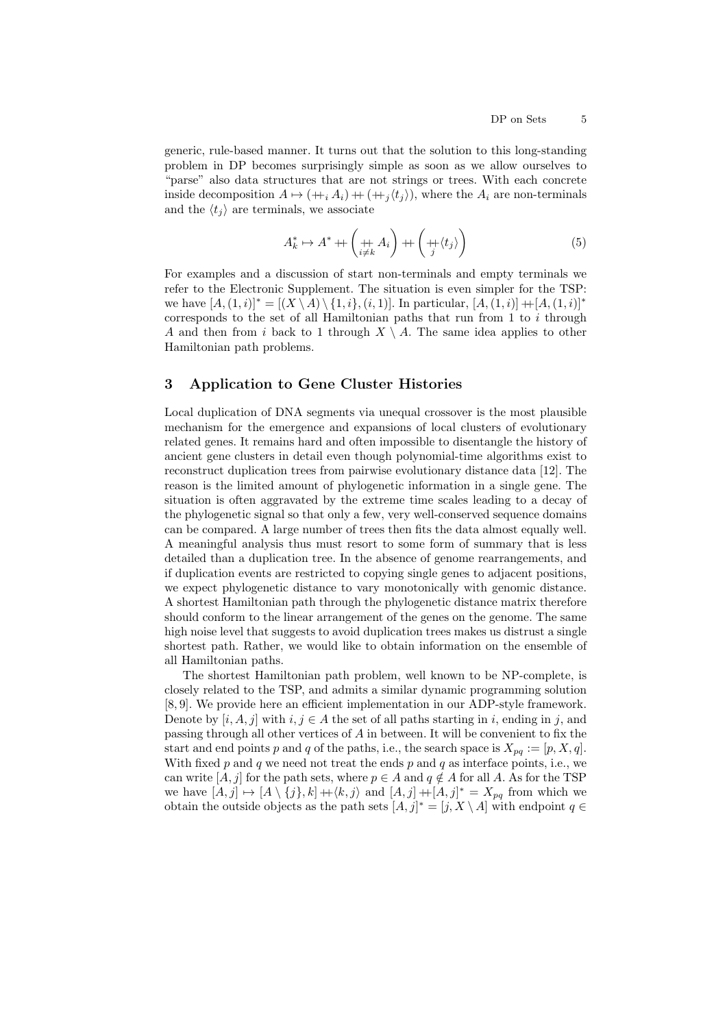generic, rule-based manner. It turns out that the solution to this long-standing problem in DP becomes surprisingly simple as soon as we allow ourselves to "parse" also data structures that are not strings or trees. With each concrete inside decomposition  $A \mapsto (+i A_i) + (+j \langle t_i \rangle)$ , where the  $A_i$  are non-terminals and the  $\langle t_i \rangle$  are terminals, we associate

$$
A_k^* \mapsto A^* + \left( \underset{i \neq k}{\text{# }} A_i \right) + \left( \underset{j}{\text{# }} \langle t_j \rangle \right) \tag{5}
$$

For examples and a discussion of start non-terminals and empty terminals we refer to the Electronic Supplement. The situation is even simpler for the TSP: we have  $[A,(1,i)]^* = [(X \setminus A) \setminus \{1,i\},(i, 1)]$ . In particular,  $[A,(1,i)] + [A,(1,i)]^*$ corresponds to the set of all Hamiltonian paths that run from 1 to  $i$  through A and then from i back to 1 through  $X \setminus A$ . The same idea applies to other Hamiltonian path problems.

## 3 Application to Gene Cluster Histories

Local duplication of DNA segments via unequal crossover is the most plausible mechanism for the emergence and expansions of local clusters of evolutionary related genes. It remains hard and often impossible to disentangle the history of ancient gene clusters in detail even though polynomial-time algorithms exist to reconstruct duplication trees from pairwise evolutionary distance data [12]. The reason is the limited amount of phylogenetic information in a single gene. The situation is often aggravated by the extreme time scales leading to a decay of the phylogenetic signal so that only a few, very well-conserved sequence domains can be compared. A large number of trees then fits the data almost equally well. A meaningful analysis thus must resort to some form of summary that is less detailed than a duplication tree. In the absence of genome rearrangements, and if duplication events are restricted to copying single genes to adjacent positions, we expect phylogenetic distance to vary monotonically with genomic distance. A shortest Hamiltonian path through the phylogenetic distance matrix therefore should conform to the linear arrangement of the genes on the genome. The same high noise level that suggests to avoid duplication trees makes us distrust a single shortest path. Rather, we would like to obtain information on the ensemble of all Hamiltonian paths.

The shortest Hamiltonian path problem, well known to be NP-complete, is closely related to the TSP, and admits a similar dynamic programming solution [8, 9]. We provide here an efficient implementation in our ADP-style framework. Denote by  $[i, A, j]$  with  $i, j \in A$  the set of all paths starting in i, ending in j, and passing through all other vertices of A in between. It will be convenient to fix the start and end points p and q of the paths, i.e., the search space is  $X_{pq} := [p, X, q]$ . With fixed p and q we need not treat the ends p and q as interface points, i.e., we can write  $[A,j]$  for the path sets, where  $p \in A$  and  $q \notin A$  for all  $A.$  As for the TSP we have  $[A, j] \mapsto [A \setminus \{j\}, k] + \langle k, j \rangle$  and  $[A, j] + [A, j]^* = X_{pq}$  from which we obtain the outside objects as the path sets  $[A, j]^* = [j, X \setminus A]$  with endpoint  $q \in$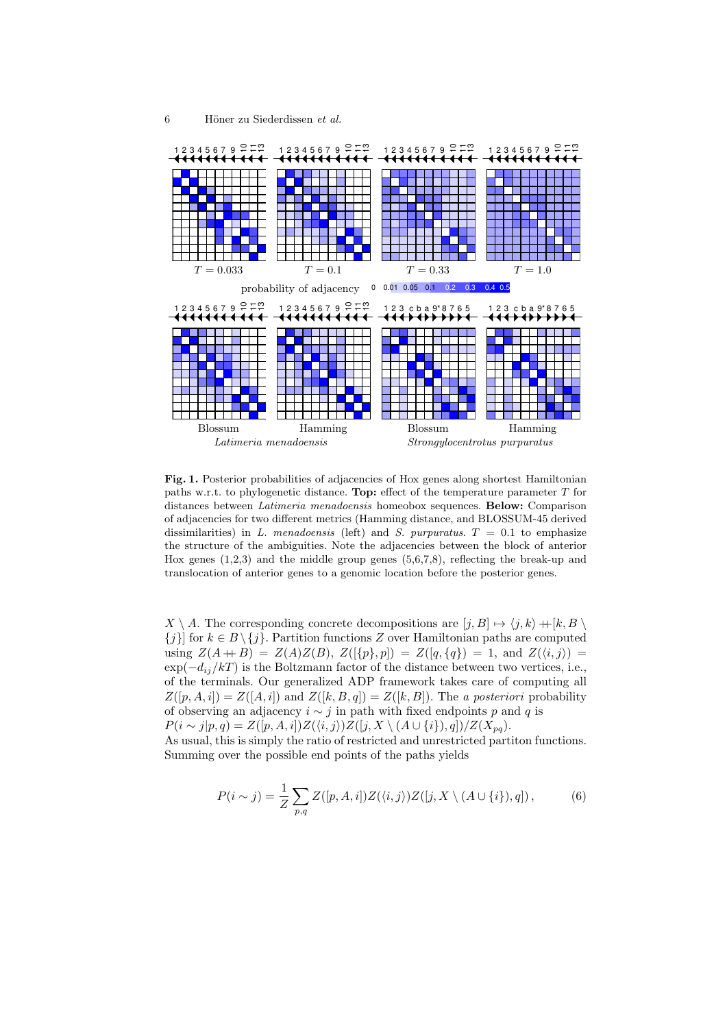

Fig. 1. Posterior probabilities of adjacencies of Hox genes along shortest Hamiltonian paths w.r.t. to phylogenetic distance. Top: effect of the temperature parameter  $T$  for distances between *Latimeria menadoensis* homeobox sequences. **Below:** Comparison of adjacencies for two different metrics (Hamming distance, and BLOSSUM-45 derived dissimilarities) in L. menadoensis (left) and S. purpuratus.  $T = 0.1$  to emphasize the structure of the ambiguities. Note the adjacencies between the block of anterior Hox genes  $(1,2,3)$  and the middle group genes  $(5,6,7,8)$ , reflecting the break-up and translocation of anterior genes to a genomic location before the posterior genes.

 $X \setminus A$ . The corresponding concrete decompositions are  $[j, B] \mapsto \langle j, k \rangle + [k, B \setminus A]$  ${j}$ ] for  $k \in B \setminus \{j\}$ . Partition functions Z over Hamiltonian paths are computed using  $Z(A + B) = Z(A)Z(B)$ ,  $Z({\lbrace p \rbrace}, p) = Z({\lbrace q, \lbrace q \rbrace \rbrace}) = 1$ , and  $Z({\langle i, j \rangle}) =$  $\exp(-d_{ii}/kT)$  is the Boltzmann factor of the distance between two vertices, i.e., of the terminals. Our generalized ADP framework takes care of computing all  $Z([p, A, i]) = Z([A, i])$  and  $Z([k, B, q]) = Z([k, B])$ . The a posteriori probability of observing an adjacency  $i \sim j$  in path with fixed endpoints p and q is  $P(i \sim j|p, q) = Z([p, A, i])Z(\langle i, j \rangle)Z([j, X \setminus (A \cup \{i\}), q])/Z(X_{pq}).$ As usual, this is simply the ratio of restricted and unrestricted partiton functions.

Summing over the possible end points of the paths yields

$$
P(i \sim j) = \frac{1}{Z} \sum_{p,q} Z([p, A, i]) Z(\langle i, j \rangle) Z([j, X \setminus (A \cup \{i\}), q]), \tag{6}
$$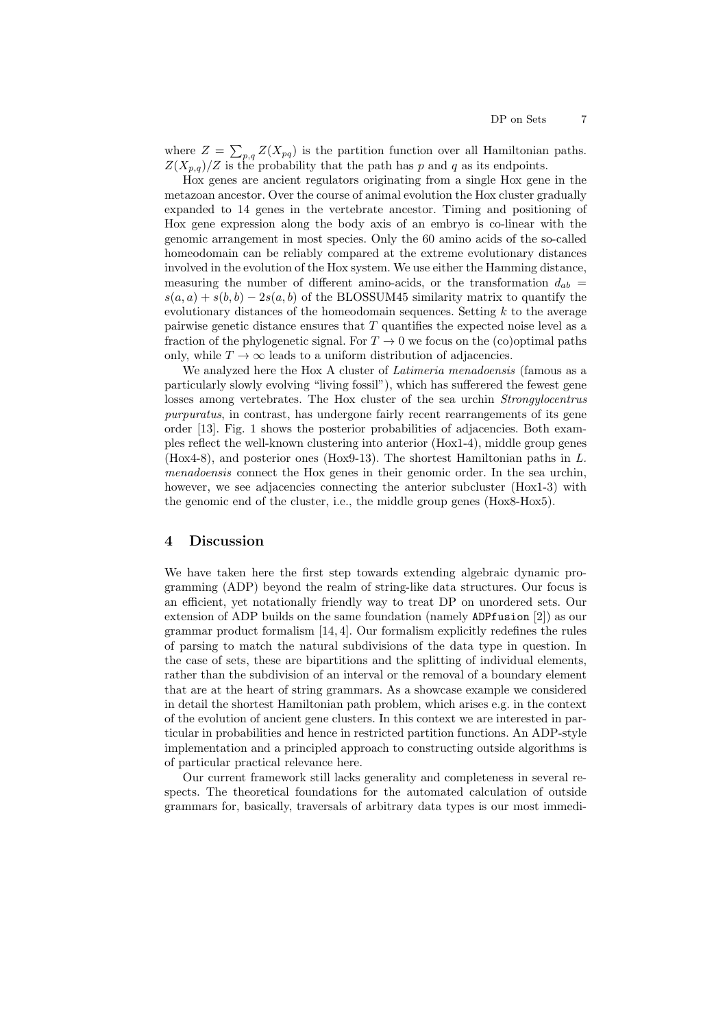where  $Z = \sum_{p,q} Z(X_{pq})$  is the partition function over all Hamiltonian paths.  $Z(X_{p,q})/Z$  is the probability that the path has p and q as its endpoints.

Hox genes are ancient regulators originating from a single Hox gene in the metazoan ancestor. Over the course of animal evolution the Hox cluster gradually expanded to 14 genes in the vertebrate ancestor. Timing and positioning of Hox gene expression along the body axis of an embryo is co-linear with the genomic arrangement in most species. Only the 60 amino acids of the so-called homeodomain can be reliably compared at the extreme evolutionary distances involved in the evolution of the Hox system. We use either the Hamming distance, measuring the number of different amino-acids, or the transformation  $d_{ab}$  =  $s(a, a) + s(b, b) - 2s(a, b)$  of the BLOSSUM45 similarity matrix to quantify the evolutionary distances of the homeodomain sequences. Setting  $k$  to the average pairwise genetic distance ensures that  $T$  quantifies the expected noise level as a fraction of the phylogenetic signal. For  $T \to 0$  we focus on the (co)optimal paths only, while  $T \to \infty$  leads to a uniform distribution of adjacencies.

We analyzed here the Hox A cluster of *Latimeria menadoensis* (famous as a particularly slowly evolving "living fossil"), which has sufferered the fewest gene losses among vertebrates. The Hox cluster of the sea urchin *Strongylocentrus* purpuratus, in contrast, has undergone fairly recent rearrangements of its gene order [13]. Fig. 1 shows the posterior probabilities of adjacencies. Both examples reflect the well-known clustering into anterior (Hox1-4), middle group genes (Hox4-8), and posterior ones (Hox9-13). The shortest Hamiltonian paths in L. menadoensis connect the Hox genes in their genomic order. In the sea urchin, however, we see adjacencies connecting the anterior subcluster (Hox1-3) with the genomic end of the cluster, i.e., the middle group genes (Hox8-Hox5).

## 4 Discussion

We have taken here the first step towards extending algebraic dynamic programming (ADP) beyond the realm of string-like data structures. Our focus is an efficient, yet notationally friendly way to treat DP on unordered sets. Our extension of ADP builds on the same foundation (namely ADPfusion [2]) as our grammar product formalism [14, 4]. Our formalism explicitly redefines the rules of parsing to match the natural subdivisions of the data type in question. In the case of sets, these are bipartitions and the splitting of individual elements, rather than the subdivision of an interval or the removal of a boundary element that are at the heart of string grammars. As a showcase example we considered in detail the shortest Hamiltonian path problem, which arises e.g. in the context of the evolution of ancient gene clusters. In this context we are interested in particular in probabilities and hence in restricted partition functions. An ADP-style implementation and a principled approach to constructing outside algorithms is of particular practical relevance here.

Our current framework still lacks generality and completeness in several respects. The theoretical foundations for the automated calculation of outside grammars for, basically, traversals of arbitrary data types is our most immedi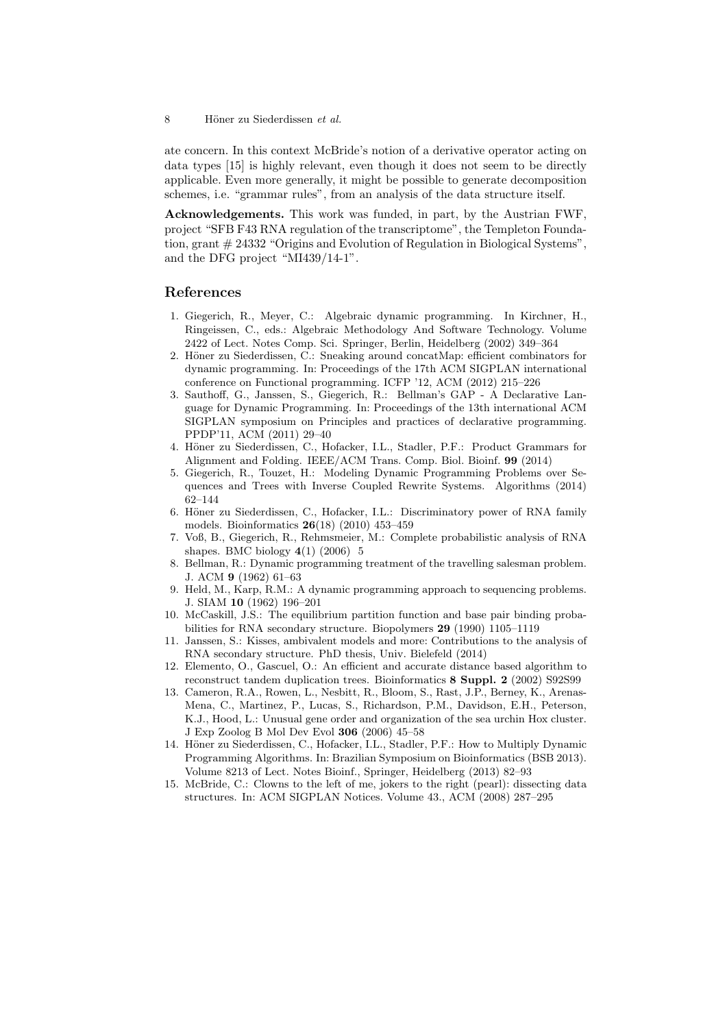ate concern. In this context McBride's notion of a derivative operator acting on data types [15] is highly relevant, even though it does not seem to be directly applicable. Even more generally, it might be possible to generate decomposition schemes, i.e. "grammar rules", from an analysis of the data structure itself.

Acknowledgements. This work was funded, in part, by the Austrian FWF, project "SFB F43 RNA regulation of the transcriptome", the Templeton Foundation, grant # 24332 "Origins and Evolution of Regulation in Biological Systems", and the DFG project "MI439/14-1".

#### References

- 1. Giegerich, R., Meyer, C.: Algebraic dynamic programming. In Kirchner, H., Ringeissen, C., eds.: Algebraic Methodology And Software Technology. Volume 2422 of Lect. Notes Comp. Sci. Springer, Berlin, Heidelberg (2002) 349–364
- 2. Höner zu Siederdissen, C.: Sneaking around concatMap: efficient combinators for dynamic programming. In: Proceedings of the 17th ACM SIGPLAN international conference on Functional programming. ICFP '12, ACM (2012) 215–226
- 3. Sauthoff, G., Janssen, S., Giegerich, R.: Bellman's GAP A Declarative Language for Dynamic Programming. In: Proceedings of the 13th international ACM SIGPLAN symposium on Principles and practices of declarative programming. PPDP'11, ACM (2011) 29–40
- 4. Höner zu Siederdissen, C., Hofacker, I.L., Stadler, P.F.: Product Grammars for Alignment and Folding. IEEE/ACM Trans. Comp. Biol. Bioinf. 99 (2014)
- 5. Giegerich, R., Touzet, H.: Modeling Dynamic Programming Problems over Sequences and Trees with Inverse Coupled Rewrite Systems. Algorithms (2014) 62–144
- 6. Höner zu Siederdissen, C., Hofacker, I.L.: Discriminatory power of RNA family models. Bioinformatics 26(18) (2010) 453–459
- 7. Voß, B., Giegerich, R., Rehmsmeier, M.: Complete probabilistic analysis of RNA shapes. BMC biology  $4(1)$  (2006) 5
- 8. Bellman, R.: Dynamic programming treatment of the travelling salesman problem. J. ACM 9 (1962) 61–63
- 9. Held, M., Karp, R.M.: A dynamic programming approach to sequencing problems. J. SIAM 10 (1962) 196–201
- 10. McCaskill, J.S.: The equilibrium partition function and base pair binding probabilities for RNA secondary structure. Biopolymers 29 (1990) 1105–1119
- 11. Janssen, S.: Kisses, ambivalent models and more: Contributions to the analysis of RNA secondary structure. PhD thesis, Univ. Bielefeld (2014)
- 12. Elemento, O., Gascuel, O.: An efficient and accurate distance based algorithm to reconstruct tandem duplication trees. Bioinformatics 8 Suppl. 2 (2002) S92S99
- 13. Cameron, R.A., Rowen, L., Nesbitt, R., Bloom, S., Rast, J.P., Berney, K., Arenas-Mena, C., Martinez, P., Lucas, S., Richardson, P.M., Davidson, E.H., Peterson, K.J., Hood, L.: Unusual gene order and organization of the sea urchin Hox cluster. J Exp Zoolog B Mol Dev Evol 306 (2006) 45–58
- 14. Höner zu Siederdissen, C., Hofacker, I.L., Stadler, P.F.: How to Multiply Dynamic Programming Algorithms. In: Brazilian Symposium on Bioinformatics (BSB 2013). Volume 8213 of Lect. Notes Bioinf., Springer, Heidelberg (2013) 82–93
- 15. McBride, C.: Clowns to the left of me, jokers to the right (pearl): dissecting data structures. In: ACM SIGPLAN Notices. Volume 43., ACM (2008) 287–295

<sup>8</sup> Höner zu Siederdissen et al.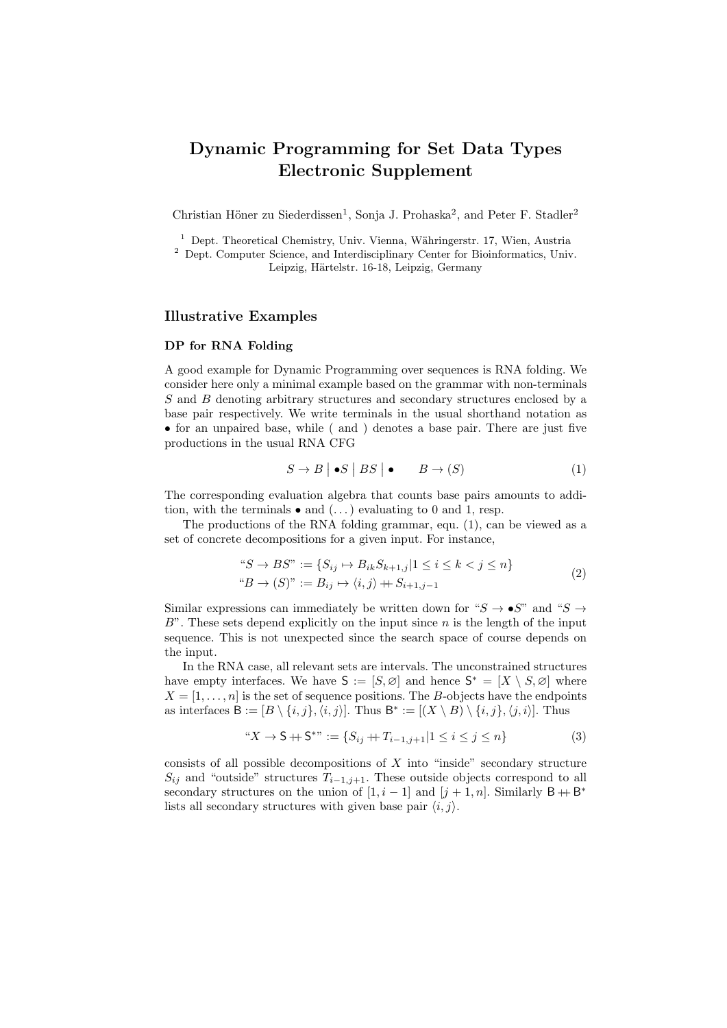# Dynamic Programming for Set Data Types Electronic Supplement

Christian Höner zu Siederdissen<sup>1</sup>, Sonja J. Prohaska<sup>2</sup>, and Peter F. Stadler<sup>2</sup>

 $1$  Dept. Theoretical Chemistry, Univ. Vienna, Währingerstr. 17, Wien, Austria

<sup>2</sup> Dept. Computer Science, and Interdisciplinary Center for Bioinformatics, Univ. Leipzig, Härtelstr. 16-18, Leipzig, Germany

## Illustrative Examples

#### DP for RNA Folding

A good example for Dynamic Programming over sequences is RNA folding. We consider here only a minimal example based on the grammar with non-terminals S and B denoting arbitrary structures and secondary structures enclosed by a base pair respectively. We write terminals in the usual shorthand notation as • for an unpaired base, while ( and ) denotes a base pair. There are just five productions in the usual RNA CFG

$$
S \to B \mid \bullet S \mid BS \mid \bullet \qquad B \to (S) \tag{1}
$$

The corresponding evaluation algebra that counts base pairs amounts to addition, with the terminals  $\bullet$  and  $(\dots)$  evaluating to 0 and 1, resp.

The productions of the RNA folding grammar, equ. (1), can be viewed as a set of concrete decompositions for a given input. For instance,

$$
"S \to BS" := \{ S_{ij} \to B_{ik} S_{k+1,j} | 1 \le i \le k < j \le n \}
$$
  

$$
"B \to (S)" := B_{ij} \to \langle i, j \rangle + S_{i+1,j-1}
$$
 (2)

Similar expressions can immediately be written down for " $S \to \bullet S$ " and " $S \to \bullet S$ "  $B$ ". These sets depend explicitly on the input since n is the length of the input sequence. This is not unexpected since the search space of course depends on the input.

In the RNA case, all relevant sets are intervals. The unconstrained structures have empty interfaces. We have  $S := [S, \emptyset]$  and hence  $S^* = [X \setminus S, \emptyset]$  where  $X = [1, \ldots, n]$  is the set of sequence positions. The B-objects have the endpoints as interfaces  $B := [B \setminus \{i, j\}, \langle i, j \rangle]$ . Thus  $B^* := [(X \setminus B) \setminus \{i, j\}, \langle j, i \rangle]$ . Thus

"
$$
X \to S + S^*
$$
 ::= { $S_{ij} + T_{i-1,j+1} | 1 \le i \le j \le n$ } 
$$
(3)
$$

consists of all possible decompositions of  $X$  into "inside" secondary structure  $S_{ij}$  and "outside" structures  $T_{i-1,j+1}$ . These outside objects correspond to all secondary structures on the union of  $[1, i - 1]$  and  $[j + 1, n]$ . Similarly  $\mathsf{B} + \mathsf{B}^*$ lists all secondary structures with given base pair  $\langle i, j \rangle$ .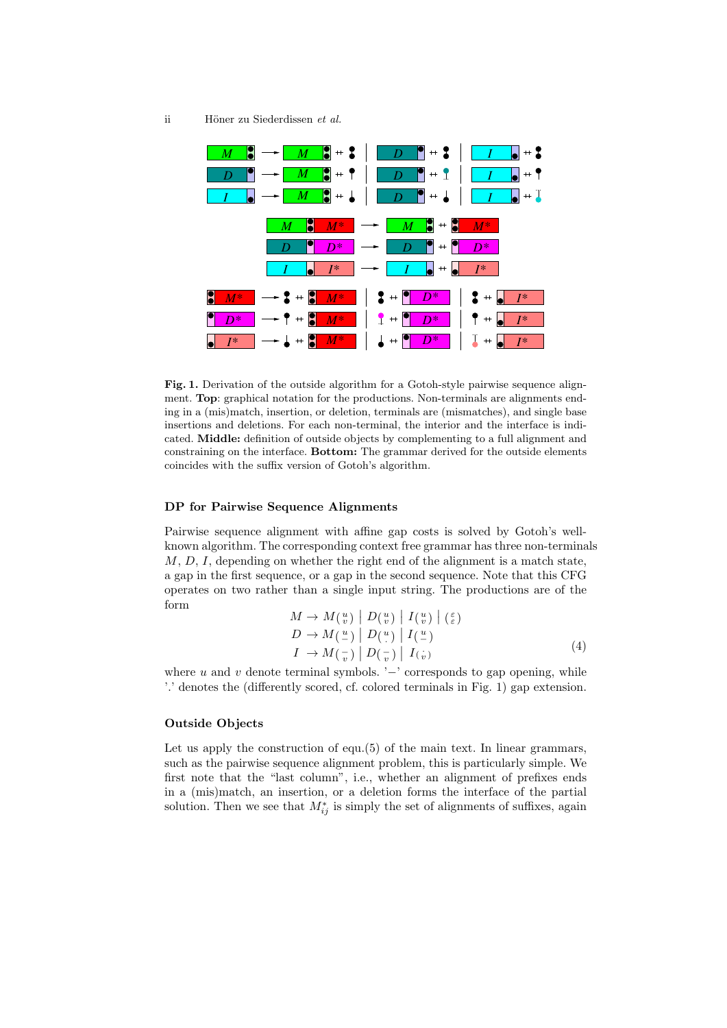

Fig. 1. Derivation of the outside algorithm for a Gotoh-style pairwise sequence alignment. Top: graphical notation for the productions. Non-terminals are alignments ending in a (mis)match, insertion, or deletion, terminals are (mismatches), and single base insertions and deletions. For each non-terminal, the interior and the interface is indicated. Middle: definition of outside objects by complementing to a full alignment and constraining on the interface. Bottom: The grammar derived for the outside elements coincides with the suffix version of Gotoh's algorithm.

#### DP for Pairwise Sequence Alignments

Pairwise sequence alignment with affine gap costs is solved by Gotoh's wellknown algorithm. The corresponding context free grammar has three non-terminals  $M, D, I$ , depending on whether the right end of the alignment is a match state, a gap in the first sequence, or a gap in the second sequence. Note that this CFG operates on two rather than a single input string. The productions are of the form

$$
M \to M(\begin{array}{c} u \\ v \end{array}) \mid D(\begin{array}{c} v \\ v \end{array}) \mid I(\begin{array}{c} u \\ v \end{array}) \mid (\begin{array}{c} \varepsilon \\ \varepsilon \end{array}) D \to M(\begin{array}{c} u \\ v \end{array}) \mid D(\begin{array}{c} u \\ v \end{array}) \mid I(\begin{array}{c} u \\ u \end{array}) I \to M(\begin{array}{c} u \\ v \end{array}) \mid D(\begin{array}{c} v \\ v \end{array}) \mid I(\begin{array}{c} u \\ v \end{array})
$$
(4)

where  $u$  and  $v$  denote terminal symbols. ' $-$ ' corresponds to gap opening, while '.' denotes the (differently scored, cf. colored terminals in Fig. 1) gap extension.

#### Outside Objects

Let us apply the construction of equ.(5) of the main text. In linear grammars, such as the pairwise sequence alignment problem, this is particularly simple. We first note that the "last column", i.e., whether an alignment of prefixes ends in a (mis)match, an insertion, or a deletion forms the interface of the partial solution. Then we see that  $M_{ij}^*$  is simply the set of alignments of suffixes, again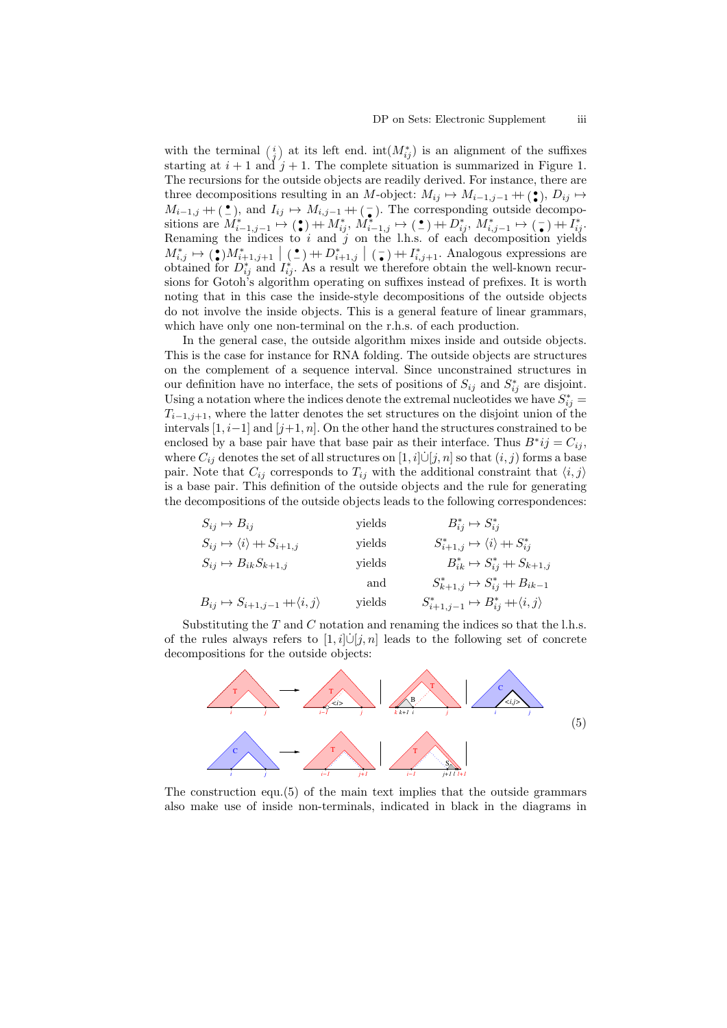with the terminal  $\binom{i}{j}$  at its left end. int $(M^*_{ij})$  is an alignment of the suffixes starting at  $i + 1$  and  $j + 1$ . The complete situation is summarized in Figure 1. The recursions for the outside objects are readily derived. For instance, there are three decompositions resulting in an M-object:  $M_{ij} \mapsto M_{i-1,j-1} + (\bullet)$ ,  $D_{ij} \mapsto$  $M_{i-1,j} + \binom{\bullet}{-}$ , and  $I_{ij} \mapsto M_{i,j-1} + \binom{\bullet}{-}$ . The corresponding outside decompositions are  $M^*_{i-1,j-1} \mapsto (\bullet) + M^*_{ij}, M^*_{i-1,j} \mapsto (\bullet) + D^*_{ij}, M^*_{i,j-1} \mapsto (\bullet) + I^*_{ij}$ . Renaming the indices to  $i$  and  $j$  on the l.h.s. of each decomposition yields  $M^*_{i,j} \mapsto (P^*_{i+1,j+1} | P^*_{i-1,j} + P^*_{i+1,j} | P^-_{i,j+1} + P^*_{i,j+1})$ . Analogous expressions are obtained for  $D_{ij}^*$  and  $I_{ij}^*$ . As a result we therefore obtain the well-known recursions for Gotoh's algorithm operating on suffixes instead of prefixes. It is worth noting that in this case the inside-style decompositions of the outside objects do not involve the inside objects. This is a general feature of linear grammars, which have only one non-terminal on the r.h.s. of each production.

In the general case, the outside algorithm mixes inside and outside objects. This is the case for instance for RNA folding. The outside objects are structures on the complement of a sequence interval. Since unconstrained structures in our definition have no interface, the sets of positions of  $S_{ij}$  and  $S_{ij}^*$  are disjoint. Using a notation where the indices denote the extremal nucleotides we have  $S_{ij}^* =$  $T_{i-1,i+1}$ , where the latter denotes the set structures on the disjoint union of the intervals  $[1, i-1]$  and  $[j+1, n]$ . On the other hand the structures constrained to be enclosed by a base pair have that base pair as their interface. Thus  $B^*ij = C_{ij}$ , where  $C_{ij}$  denotes the set of all structures on  $[1, i] \dot{\cup} [j, n]$  so that  $(i, j)$  forms a base pair. Note that  $C_{ij}$  corresponds to  $T_{ij}$  with the additional constraint that  $\langle i, j \rangle$ is a base pair. This definition of the outside objects and the rule for generating the decompositions of the outside objects leads to the following correspondences:

| $S_{ij} \rightarrow B_{ij}$                             | yields                                       | $B_{ij}^* \rightarrow S_{ij}^*$                             |
|---------------------------------------------------------|----------------------------------------------|-------------------------------------------------------------|
| $S_{ij} \rightarrow \langle i \rangle + S_{i+1,j}$      | yields                                       | $S_{i+1,j}^* \rightarrow \langle i \rangle + S_{ij}^*$      |
| $S_{ij} \rightarrow B_{ik} S_{k+1,j}$                   | yields                                       | $B_{ik}^* \rightarrow S_{ij}^* + S_{k+1,j}$                 |
| and                                                     | $S_{k+1,j}^* \rightarrow S_{ij}^* + B_{k-1}$ |                                                             |
| $B_{ij} \rightarrow S_{i+1,j-1} + \langle i, j \rangle$ | yields                                       | $S_{i+1,j-1}^* \rightarrow B_{ij}^* + \langle i, j \rangle$ |

Substituting the  $T$  and  $C$  notation and renaming the indices so that the l.h.s. of the rules always refers to  $[1, i] \cup [j, n]$  leads to the following set of concrete decompositions for the outside objects:



The construction equ.(5) of the main text implies that the outside grammars also make use of inside non-terminals, indicated in black in the diagrams in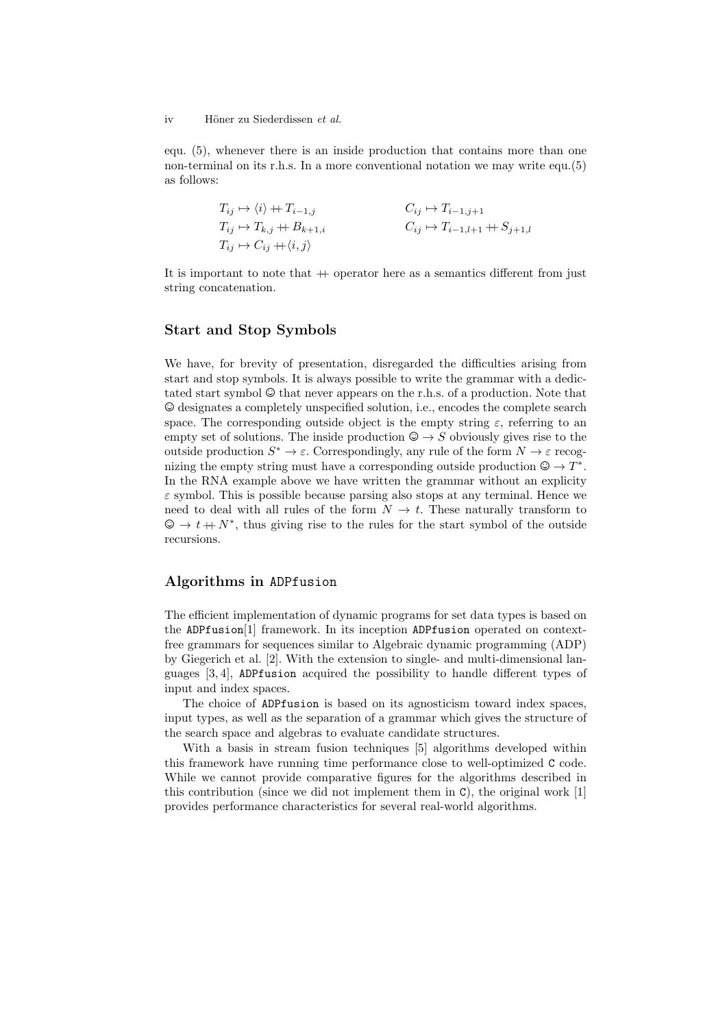#### iv Höner zu Siederdissen et al.

equ. (5), whenever there is an inside production that contains more than one non-terminal on its r.h.s. In a more conventional notation we may write equ.(5) as follows:

$$
T_{ij} \mapsto \langle i \rangle + T_{i-1,j} \qquad C_{ij} \mapsto T_{i-1,j+1}
$$
  
\n
$$
T_{ij} \mapsto T_{k,j} + B_{k+1,i} \qquad C_{ij} \mapsto T_{i-1,l+1} + S_{j+1,l}
$$
  
\n
$$
T_{ij} \mapsto C_{ij} + \langle i, j \rangle
$$

It is important to note that  $+$  operator here as a semantics different from just string concatenation.

#### Start and Stop Symbols

We have, for brevity of presentation, disregarded the difficulties arising from start and stop symbols. It is always possible to write the grammar with a dedictated start symbol © that never appears on the r.h.s. of a production. Note that © designates a completely unspecified solution, i.e., encodes the complete search space. The corresponding outside object is the empty string  $\varepsilon$ , referring to an empty set of solutions. The inside production  $\mathcal{Q} \to S$  obviously gives rise to the outside production  $S^* \to \varepsilon$ . Correspondingly, any rule of the form  $N \to \varepsilon$  recognizing the empty string must have a corresponding outside production  $\mathcal{Q} \to T^*$ . In the RNA example above we have written the grammar without an explicity  $\varepsilon$  symbol. This is possible because parsing also stops at any terminal. Hence we need to deal with all rules of the form  $N \to t$ . These naturally transform to  $\mathcal{Q} \to t + N^*$ , thus giving rise to the rules for the start symbol of the outside recursions.

## Algorithms in ADPfusion

The efficient implementation of dynamic programs for set data types is based on the ADPfusion[1] framework. In its inception ADPfusion operated on contextfree grammars for sequences similar to Algebraic dynamic programming (ADP) by Giegerich et al. [2]. With the extension to single- and multi-dimensional languages [3, 4], ADPfusion acquired the possibility to handle different types of input and index spaces.

The choice of ADPfusion is based on its agnosticism toward index spaces, input types, as well as the separation of a grammar which gives the structure of the search space and algebras to evaluate candidate structures.

With a basis in stream fusion techniques [5] algorithms developed within this framework have running time performance close to well-optimized C code. While we cannot provide comparative figures for the algorithms described in this contribution (since we did not implement them in C), the original work [1] provides performance characteristics for several real-world algorithms.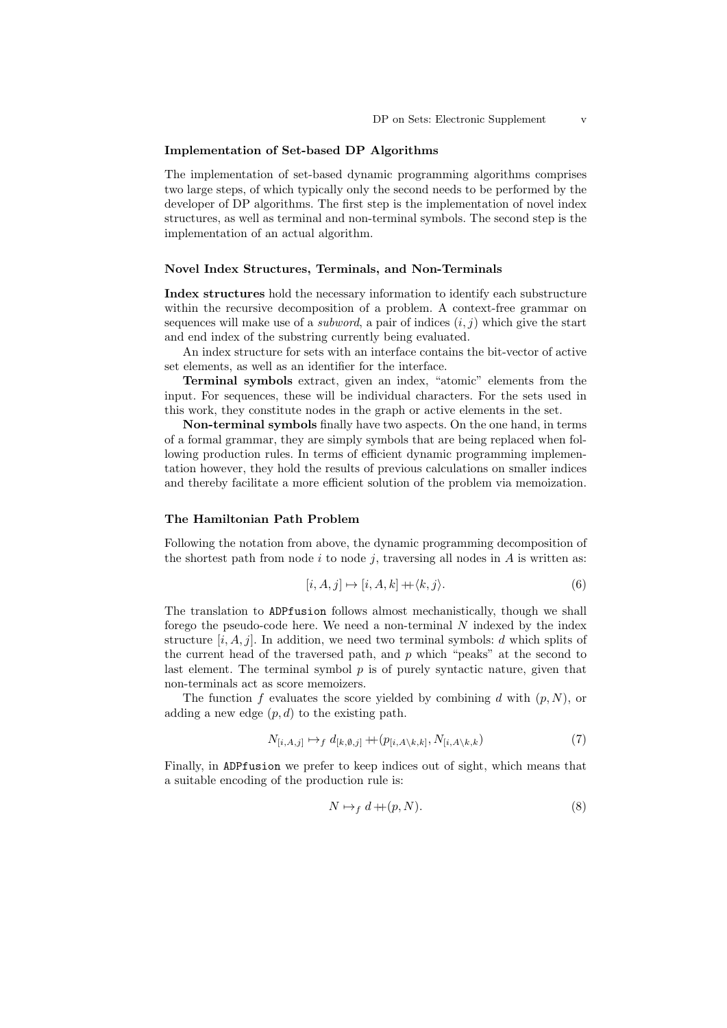#### Implementation of Set-based DP Algorithms

The implementation of set-based dynamic programming algorithms comprises two large steps, of which typically only the second needs to be performed by the developer of DP algorithms. The first step is the implementation of novel index structures, as well as terminal and non-terminal symbols. The second step is the implementation of an actual algorithm.

#### Novel Index Structures, Terminals, and Non-Terminals

Index structures hold the necessary information to identify each substructure within the recursive decomposition of a problem. A context-free grammar on sequences will make use of a *subword*, a pair of indices  $(i, j)$  which give the start and end index of the substring currently being evaluated.

An index structure for sets with an interface contains the bit-vector of active set elements, as well as an identifier for the interface.

Terminal symbols extract, given an index, "atomic" elements from the input. For sequences, these will be individual characters. For the sets used in this work, they constitute nodes in the graph or active elements in the set.

Non-terminal symbols finally have two aspects. On the one hand, in terms of a formal grammar, they are simply symbols that are being replaced when following production rules. In terms of efficient dynamic programming implementation however, they hold the results of previous calculations on smaller indices and thereby facilitate a more efficient solution of the problem via memoization.

#### The Hamiltonian Path Problem

Following the notation from above, the dynamic programming decomposition of the shortest path from node i to node j, traversing all nodes in  $A$  is written as:

$$
[i, A, j] \mapsto [i, A, k] + \langle k, j \rangle. \tag{6}
$$

The translation to ADPfusion follows almost mechanistically, though we shall forego the pseudo-code here. We need a non-terminal  $N$  indexed by the index structure  $[i, A, j]$ . In addition, we need two terminal symbols: d which splits of the current head of the traversed path, and  $p$  which "peaks" at the second to last element. The terminal symbol  $p$  is of purely syntactic nature, given that non-terminals act as score memoizers.

The function f evaluates the score yielded by combining d with  $(p, N)$ , or adding a new edge  $(p, d)$  to the existing path.

$$
N_{[i,A,j]} \mapsto_f d_{[k,\emptyset,j]} + (p_{[i,A\setminus k,k]}, N_{[i,A\setminus k,k})
$$
\n
$$
(7)
$$

Finally, in ADPfusion we prefer to keep indices out of sight, which means that a suitable encoding of the production rule is:

$$
N \mapsto_f d + (p, N). \tag{8}
$$